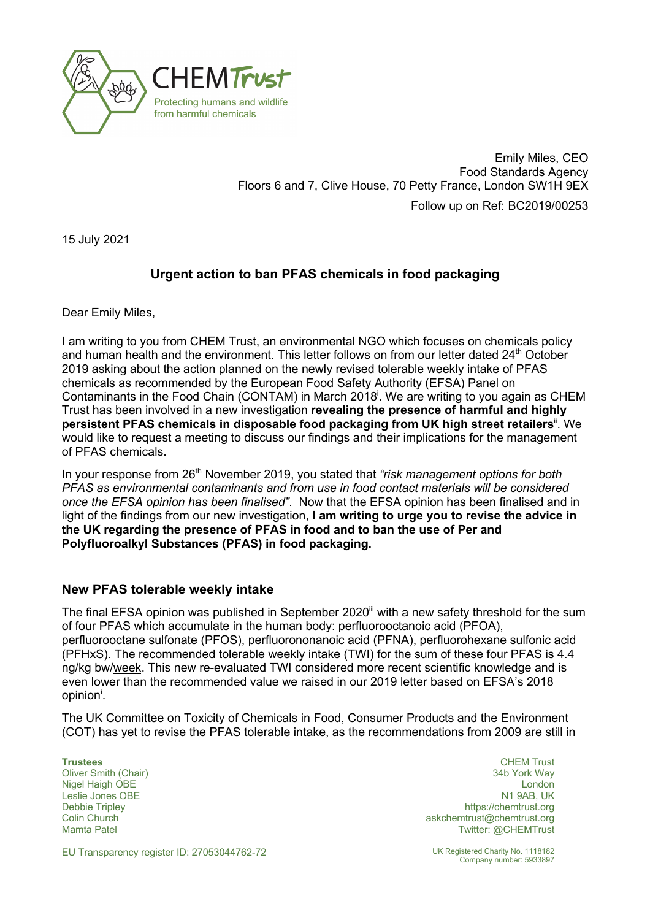

Emily Miles, CEO Food Standards Agency Floors 6 and 7, Clive House, 70 Petty France, London SW1H 9EX Follow up on Ref: BC2019/00253

15 July 2021

## **Urgent action to ban PFAS chemicals in food packaging**

Dear Emily Miles,

I am writing to you from CHEM Trust, an environmental NGO which focuses on chemicals policy and human health and the environment. This letter follows on from our letter dated 24<sup>th</sup> October 2019 asking about the action planned on the newly revised tolerable weekly intake of PFAS chemicals as recommended by the European Food Safety Authority (EFSA) Panel on Contaminants in the Food Chain (CONTAM) in March 2018<sup>†</sup>. We are writing to you again as CHEM Trust has been involved in a new investigation **revealing the presence of harmful and highly**  persistent PFAS chemicals in disposable food packaging from UK high street retailers<sup>ii</sup>. We would like to request a meeting to discuss our findings and their implications for the management of PFAS chemicals.

In vour response from 26<sup>th</sup> November 2019, you stated that "risk management options for both *PFAS as environmental contaminants and from use in food contact materials will be considered once the EFSA opinion has been finalised"*. Now that the EFSA opinion has been finalised and in light of the findings from our new investigation, **I am writing to urge you to revise the advice in the UK regarding the presence of PFAS in food and to ban the use of Per and Polyfluoroalkyl Substances (PFAS) in food packaging.**

## **New PFAS tolerable weekly intake**

The final EFSA opinion was published in September 2020<sup>iii</sup> with a new safety threshold for the sum of four PFAS which accumulate in the human body: perfluorooctanoic acid (PFOA), perfluorooctane sulfonate (PFOS), perfluorononanoic acid (PFNA), perfluorohexane sulfonic acid (PFHxS). The recommended tolerable weekly intake (TWI) for the sum of these four PFAS is 4.4 ng/kg bw/week. This new re-evaluated TWI considered more recent scientific knowledge and is even lower than the recommended value we raised in our 2019 letter based on EFSA's 2018 opinion<sup>i</sup>.

The UK Committee on Toxicity of Chemicals in Food, Consumer Products and the Environment (COT) has yet to revise the PFAS tolerable intake, as the recommendations from 2009 are still in

Leslie Jones OBE Debbie Tripley Colin Church Mamta Patel

**Trustees** CHEM Trust Oliver Smith (Chair) 34b York Way Nigel Haigh OBE **London London London London London London London London London** N1 9AB, UK https://chemtrust.org askchemtrust@chemtrust.org Twitter: @CHEMTrust

EU Transparency register ID: 27053044762-72 UK Registered Charity No. 1118182

Company number: 5933897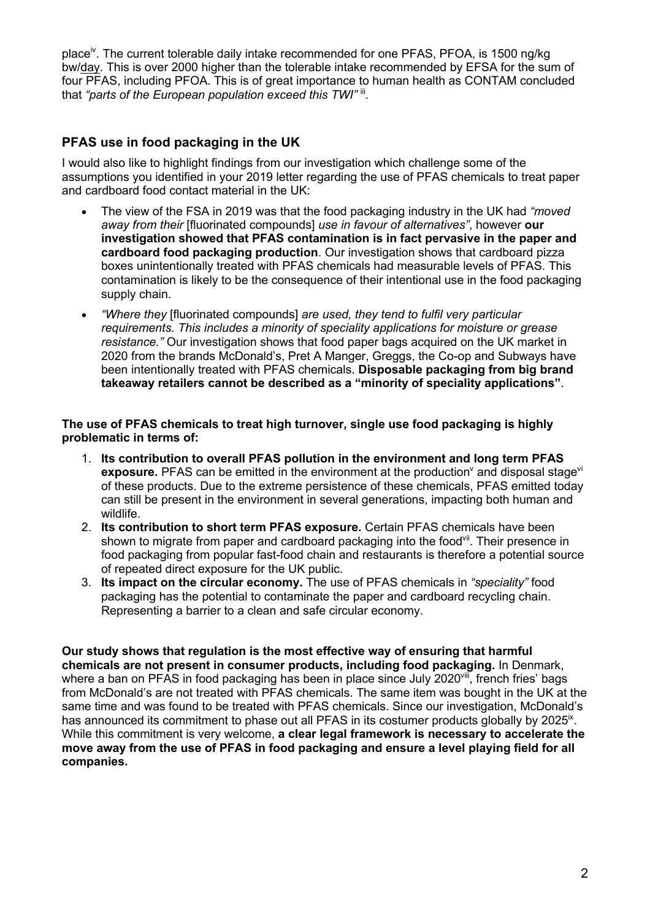place<sup>iv</sup>. The current tolerable daily intake recommended for one PFAS, PFOA, is 1500 ng/kg bw/day. This is over 2000 higher than the tolerable intake recommended by EFSA for the sum of four PFAS, including PFOA. This is of great importance to human health as CONTAM concluded that "parts of the European population exceed this TWI" ii.

## **PFAS use in food packaging in the UK**

I would also like to highlight findings from our investigation which challenge some of the assumptions you identified in your 2019 letter regarding the use of PFAS chemicals to treat paper and cardboard food contact material in the UK:

- The view of the FSA in 2019 was that the food packaging industry in the UK had *"moved away from their* [fluorinated compounds] *use in favour of alternatives"*, however **our investigation showed that PFAS contamination is in fact pervasive in the paper and cardboard food packaging production**. Our investigation shows that cardboard pizza boxes unintentionally treated with PFAS chemicals had measurable levels of PFAS. This contamination is likely to be the consequence of their intentional use in the food packaging supply chain.
- *"Where they* [fluorinated compounds] *are used, they tend to fulfil very particular requirements. This includes a minority of speciality applications for moisture or grease resistance."* Our investigation shows that food paper bags acquired on the UK market in 2020 from the brands McDonald's, Pret A Manger, Greggs, the Co-op and Subways have been intentionally treated with PFAS chemicals. **Disposable packaging from big brand takeaway retailers cannot be described as a "minority of speciality applications"**.

**The use of PFAS chemicals to treat high turnover, single use food packaging is highly problematic in terms of:**

- 1. **Its contribution to overall PFAS pollution in the environment and long term PFAS exposure.** PFAS can be emitted in the environment at the production<sup>y</sup> and disposal stage<sup>vi</sup> of these products. Due to the extreme persistence of these chemicals, PFAS emitted today can still be present in the environment in several generations, impacting both human and wildlife.
- 2. **Its contribution to short term PFAS exposure.** Certain PFAS chemicals have been shown to migrate from paper and cardboard packaging into the food<sup>vii</sup>. Their presence in food packaging from popular fast-food chain and restaurants is therefore a potential source of repeated direct exposure for the UK public.
- 3. **Its impact on the circular economy.** The use of PFAS chemicals in *"speciality"* food packaging has the potential to contaminate the paper and cardboard recycling chain. Representing a barrier to a clean and safe circular economy.

**Our study shows that regulation is the most effective way of ensuring that harmful chemicals are not present in consumer products, including food packaging.** In Denmark, where a ban on PFAS in food packaging has been in place since July 2020<sup>viii</sup>, french fries' bags from McDonald's are not treated with PFAS chemicals. The same item was bought in the UK at the same time and was found to be treated with PFAS chemicals. Since our investigation, McDonald's has announced its commitment to phase out all PFAS in its costumer products globally by  $2025<sup>ix</sup>$ . While this commitment is very welcome, **a clear legal framework is necessary to accelerate the move away from the use of PFAS in food packaging and ensure a level playing field for all companies.**